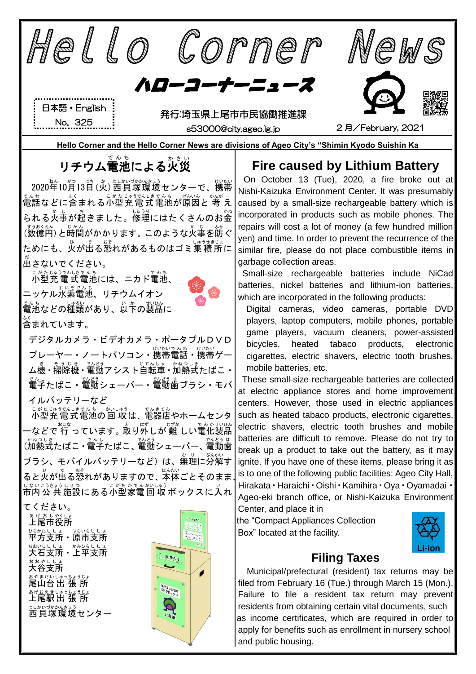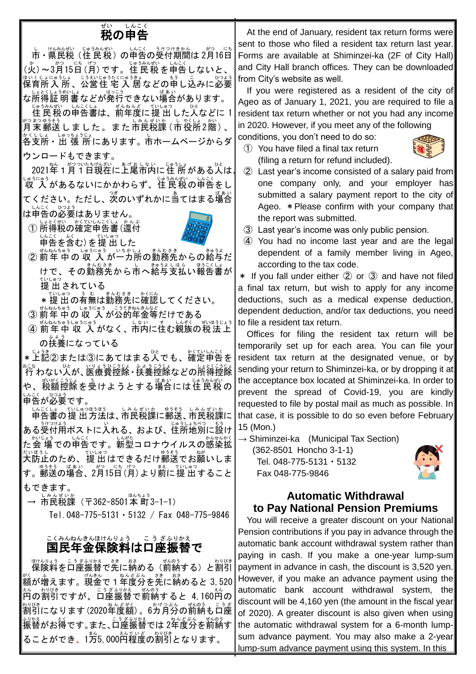# <sub>ぜい しんこく</sub><br>**税の申告**

→ じゅうみむ、しんこく、うけっけきかん。 がっしにち (火) ~3月15日 (月) です。住民税を申告しないと、 はいくじょにゅうしょ こうおじゅうたくにゅうきょ<br>保育所 入 所 、公営住 宅 入 居 などの申し込みに必要 な所得 しょとく 証明書 しょうめいしょ などが発行 はっこう できない場合 ばあい があります。

じゅうみばい しんこくはま こうしゅっしょ いしょうかばい しょくはい しんこくしょ こうしゅう じゅうしゅう しんこくしょう <sub>約5秒3秒</sub><br>月末郵送しました。また市民税課 (市役所2階)、 各支所 かくししょ ・出 張 所 しゅっちょうじょ にあります。市 し ホームページからダ ウンロードもできます。

2021年1月1日現在に上尾市内に住 所がある人は、 しゅうにゅう<br>収 入があるないにかかわらず、住民税の申告をし てください。ただし、<sup>3</sup>、のいずれかに当てはまる場合 、したく、ひょう<br>は申告の必要はありません。

① 所得税の確定申告書(還付 い<u>こく。</u><br>申告を含む) を提 出 した



② 前年中の収 入が一ヵ所の勤務先からの絡与だ けで、その勤務先から市へ絡与支払い報告書が 。。。。<br>提 出 されている

★ 提 出 の有無は勤務先に確認してください。

- ③ 前年 中の 収 入 が公的年金等だけである
- ④ 前年中 収 入がなく、市内に住む親族の税法上 ぜいほうじょう の扶養 ふよう になっている

\*上記②または③にあてはまる人でも、毎定申告を  $\overbrace{r}^{z \in \mathbb{Z}}$ わない人が、医療費控除・扶養控除などの所得控除 や、税額控除を受けようとする場合には住民税の い<u>こく、</u>いよう<br>申告が必要です。

しんこくしょ ていゆつほうほう しみんぜいか<br>申告書の 提 出 方法は、市民税課に郵送、市民税課に ある受付用ポストに入れる、および、住所地別に設け 、<sub>かじょう</sub><br>た会 場での申告です。新型コロナウイルスの感染拡 だいぼうし<br>大防止のため、提 出 はできるだけ郵送でお願いしま す。郵送 ゆうそう の場合 ばあい 、2月 がつ 15日 にち (月 げつ )より前 まえ に提 出 ていしゅつ すること もできます。

→ 市民税課 (〒362-8501本町3-1-1)

Tel.048-775-5131・5132 / Fax 048-775-9846

#### 国民年金保険料は口座振替で こくみんねんきんほけんりょう ここう ざふりかえ

脚裂綺 こうぎ裂落で羌に納める(前納する)と割引 。<br>額が増えます。現金で1年度分を先に納めると 3,520 <u>ぇ</u><br>円の割引ですが、口座振替で前納すると 4,160ലの \*)"(\*\*)<br>割引になります(2020年度額)。6ガ月分の前納も口座 。<sub>ジゕぇ</sub>゛。。。 こうざふりゕぇ 。。どぶん ぜんのう<br>振替がお得です。また、口座振替では 2年度分を前納す ることができ、1方5,000円程度の割引となります。

At the end of January, resident tax return forms were sent to those who filed a resident tax return last year. Forms are available at Shiminzei-ka (2F of City Hall) and City Hall branch offices. They can be downloaded from City's website as well.

 If you were registered as a resident of the city of Ageo as of January 1, 2021, you are required to file a resident tax return whether or not you had any income in 2020. However, if you meet any of the following conditions, you don't need to do so:

① You have filed a final tax return (filing a return for refund included).



- ② Last year's income consisted of a salary paid from one company only, and your employer has submitted a salary payment report to the city of Ageo. \*Please confirm with your company that the report was submitted.
- ③ Last year's income was only public pension.
- ④ You had no income last year and are the legal dependent of a family member living in Ageo, according to the tax code.

\* If you fall under either ② or ③ and have not filed a final tax return, but wish to apply for any income deductions, such as a medical expense deduction, dependent deduction, and/or tax deductions, you need to file a resident tax return.

Offices for filing the resident tax return will be temporarily set up for each area. You can file your resident tax return at the designated venue, or by sending your return to Shiminzei-ka, or by dropping it at the acceptance box located at Shiminzei-ka. In order to prevent the spread of Covid-19, you are kindly requested to file by postal mail as much as possible. In that case, it is possible to do so even before February 15 (Mon.)

 $\rightarrow$  Shiminzei-ka (Municipal Tax Section) (362-8501 Honcho 3-1-1)

Tel. 048-775-5131・5132 Fax 048-775-9846



### **Automatic Withdrawal to Pay National Pension Premiums**

You will receive a greater discount on your National Pension contributions if you pay in advance through the automatic bank account withdrawal system rather than paying in cash. If you make a one-year lump-sum payment in advance in cash, the discount is 3,520 yen. However, if you make an advance payment using the automatic bank account withdrawal system, the discount will be 4,160 yen (the amount in the fiscal year of 2020). A greater discount is also given when using the automatic withdrawal system for a 6-month lumpsum advance payment. You may also make a 2-year lump-sum advance payment using this system. In this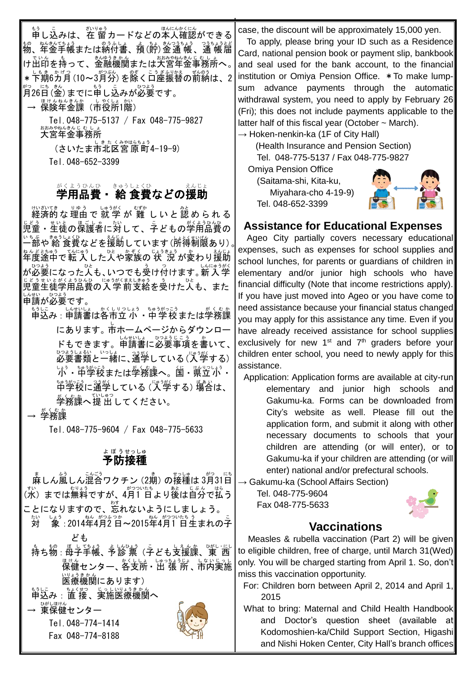もう<br>申し込みは、在 留カードなどの本人確認ができる <u>もの、ねんびょう。よしのうふしょう。つうよう</u><br>物、年金手帳または納付書、預(貯)金通 帳、通 帳届 しいん。もうて、、金融機関または大宮年金事務所へ。 \* 下期6カ月(10~3月分)を除く口座振替の前納は、2 月 がつ 26日 にち (金 きん )までに申 もう し込 こ みが必要 ひつよう です。

→ 保険年金課(市役所1階)

Tel.048-775-5137 / Fax 048-775-9827 大宮 年金 事務所 おおみや ねんきん じむしょ (さいたま市北区宮原町4-19-9)

Tel.048-652-3399

## <sub>がくようひんひ</sub> <sub>きゅうしょくひ</sub><br>**学用品費・ 給 食費などの援助**

<sub>けいざいき</sub><br>経済的な理由で 就 学 が 難 しいと認められる 児童 じどう ・生徒 せいと の保護者 ほ ご し ゃ に対 たい して、子 こ どもの学用品費 がくようひんひ の いちぶ、きゅうしょくひ。<br>一部や 給 食費などを援助しています (所得制限あり) 。│ 年度 ねんど 途中 とちゅう で転 入 てんにゅう した人 ひと や家族 かぞく の 状 況 じょうきょう が変 か わり援助 えんじょ が必要 ひつよう になった人 ひと も、いつでも受 う け付 つ けます。新入学 しんにゅうがく じどうせいとがくようひんひ にゅうがくまえは食う。 う ひと<br>児童生徒学用品費の入 学 前支給を受けた人も、また 申請 しんせい が必要 ひつよう です。

申込 もうしこ み:申 しん 請書 せいしょ は各市立 かくしりつ 小 しょう ・中学校 ちゅうがっこう または学務課 がくむか にあります。市 し ホームページからダウンロー ドもできます。申請書に必要事項を書いて、 必要 ひつよう 書類 しょるい と一緒 いっしょ に、通学つうがく している(入学 にゅうがくする) └ガ・ ゙ヸ゚学&または学瀦譲へ。 箇・ 巣笠が・ 「<sup>第</sup>学核に通学している (人学する) 場合は、 。<br>学務課へ提 出してください。

→ 学務課 がくむか

Tel.048-775-9604 / Fax 048-775-5633

### 予防 接種 よぼう せっしゅ

 麻 ま しん風 ふう しん混合 こんごう ワクチン(2期 き )の接種 せっしゅ は 3月 がつ 31日 にち 、<sub>れ、</sub><br>(水)までは無料ですが、4月1 日より後は自分で払う ことになりますので、芯れないようにしましょう。 対 たい しょう<br>|象 : 2014年4月2 日~2015年4月1 日生まれの子 ども も、も物:馬子・帳、予診、真、ことも支援課、東 西 <sub>ほけん</sub><br>保健センター、各支所・出 張 所 、市内実施 。<sub>いょうきかん</sub><br>医療機関にあります) もうしこ 。。。という。。。。<br>申込み : 直 接 、実施医療機関へ → <sup>びじほけん</sup><br>→ 東保健センター

Tel.048-774-1414

Fax 048-774-8188



case, the discount will be approximately 15,000 yen.

To apply, please bring your ID such as a Residence Card, national pension book or payment slip, bankbook and seal used for the bank account, to the financial institution or Omiya Pension Office. \*To make lumpsum advance payments through the automatic withdrawal system, you need to apply by February 26 (Fri); this does not include payments applicable to the latter half of this fiscal year (October  $\sim$  March).

 $\rightarrow$  Hoken-nenkin-ka (1F of City Hall)

(Health Insurance and Pension Section) Tel. 048-775-5137 / Fax 048-775-9827

Omiya Pension Office

(Saitama-shi, Kita-ku, Miyahara-cho 4-19-9) Tel. 048-652-3399



### **Assistance for Educational Expenses**

Ageo City partially covers necessary educational expenses, such as expenses for school supplies and school lunches, for parents or guardians of children in elementary and/or junior high schools who have financial difficulty (Note that income restrictions apply). If you have just moved into Ageo or you have come to need assistance because your financial status changed, you may apply for this assistance any time. Even if you have already received assistance for school supplies exclusively for new 1<sup>st</sup> and 7<sup>th</sup> graders before your children enter school, you need to newly apply for this assistance.

Application: Application forms are available at city-run elementary and junior high schools and Gakumu-ka. Forms can be downloaded from City's website as well. Please fill out the application form, and submit it along with other necessary documents to schools that your children are attending (or will enter), or to Gakumu-ka if your children are attending (or will enter) national and/or prefectural schools.

 $\rightarrow$  Gakumu-ka (School Affairs Section)

Tel. 048-775-9604 Fax 048-775-5633



## **Vaccinations**

Measles & rubella vaccination (Part 2) will be given to eligible children, free of charge, until March 31(Wed) only. You will be charged starting from April 1. So, don't miss this vaccination opportunity.

For: Children born between April 2, 2014 and April 1, 2015

What to bring: Maternal and Child Health Handbook and Doctor's question sheet (available at Kodomoshien-ka/Child Support Section, Higashi and Nishi Hoken Center, City Hall's branch offices